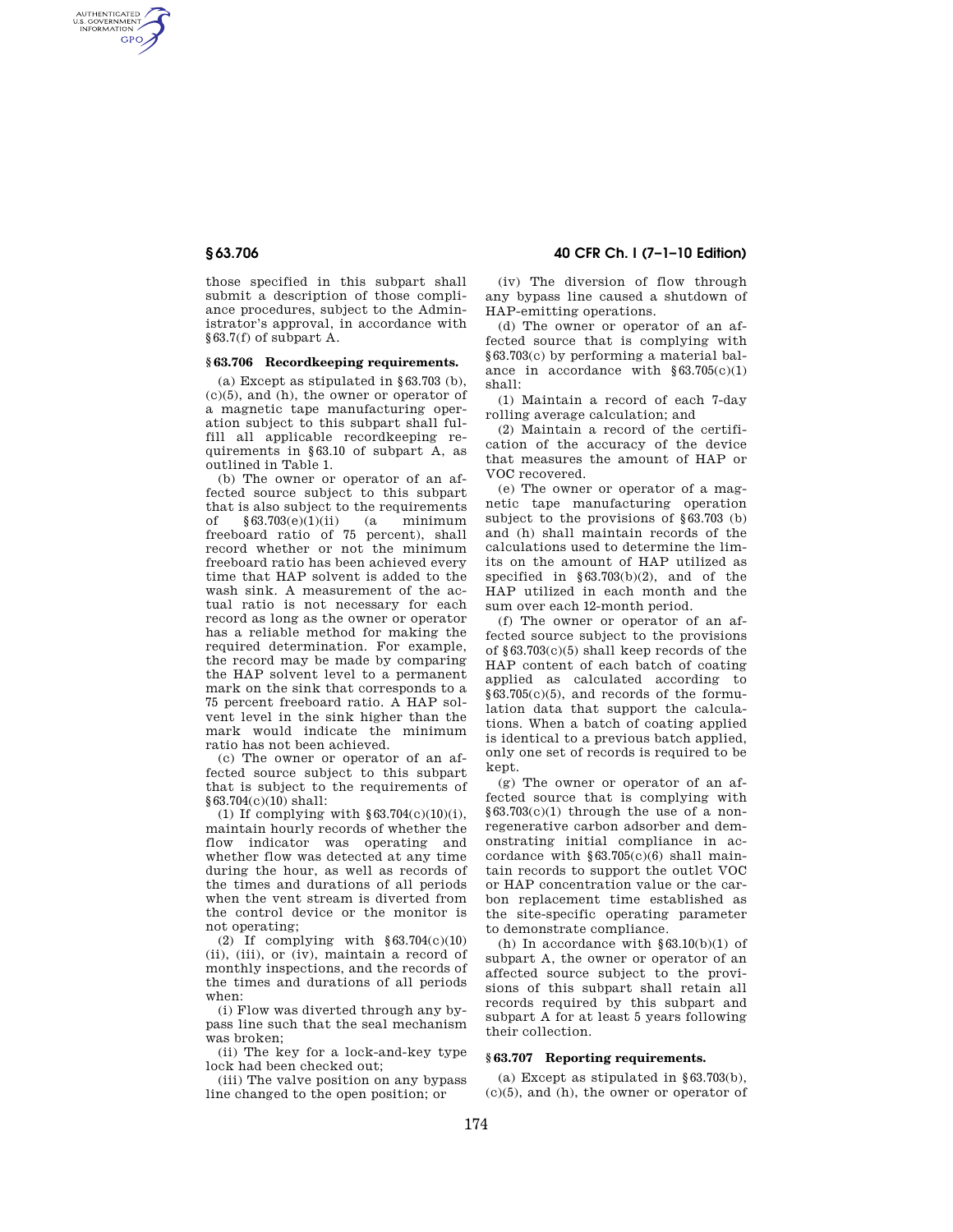AUTHENTICATED<br>U.S. GOVERNMENT<br>INFORMATION **GPO** 

> those specified in this subpart shall submit a description of those compliance procedures, subject to the Administrator's approval, in accordance with §63.7(f) of subpart A.

## **§ 63.706 Recordkeeping requirements.**

(a) Except as stipulated in §63.703 (b),  $(c)(5)$ , and  $(h)$ , the owner or operator of a magnetic tape manufacturing operation subject to this subpart shall fulfill all applicable recordkeeping requirements in §63.10 of subpart A, as outlined in Table 1.

(b) The owner or operator of an affected source subject to this subpart that is also subject to the requirements of §63.703(e)(1)(ii) (a minimum freeboard ratio of 75 percent), shall record whether or not the minimum freeboard ratio has been achieved every time that HAP solvent is added to the wash sink. A measurement of the actual ratio is not necessary for each record as long as the owner or operator has a reliable method for making the required determination. For example, the record may be made by comparing the HAP solvent level to a permanent mark on the sink that corresponds to a 75 percent freeboard ratio. A HAP solvent level in the sink higher than the mark would indicate the minimum ratio has not been achieved.

(c) The owner or operator of an affected source subject to this subpart that is subject to the requirements of §63.704(c)(10) shall:

(1) If complying with §63.704(c)(10)(i), maintain hourly records of whether the flow indicator was operating and whether flow was detected at any time during the hour, as well as records of the times and durations of all periods when the vent stream is diverted from the control device or the monitor is not operating;

(2) If complying with  $§63.704(c)(10)$ (ii), (iii), or (iv), maintain a record of monthly inspections, and the records of the times and durations of all periods when:

(i) Flow was diverted through any bypass line such that the seal mechanism was broken;

(ii) The key for a lock-and-key type lock had been checked out;

(iii) The valve position on any bypass line changed to the open position; or

**§ 63.706 40 CFR Ch. I (7–1–10 Edition)** 

(iv) The diversion of flow through any bypass line caused a shutdown of HAP-emitting operations.

(d) The owner or operator of an affected source that is complying with §63.703(c) by performing a material balance in accordance with  $§63.705(c)(1)$ shall:

(1) Maintain a record of each 7-day rolling average calculation; and

(2) Maintain a record of the certification of the accuracy of the device that measures the amount of HAP or VOC recovered.

(e) The owner or operator of a magnetic tape manufacturing operation subject to the provisions of §63.703 (b) and (h) shall maintain records of the calculations used to determine the limits on the amount of HAP utilized as specified in §63.703(b)(2), and of the HAP utilized in each month and the sum over each 12-month period.

(f) The owner or operator of an affected source subject to the provisions of §63.703(c)(5) shall keep records of the HAP content of each batch of coating applied as calculated according to §63.705(c)(5), and records of the formulation data that support the calculations. When a batch of coating applied is identical to a previous batch applied, only one set of records is required to be kept.

(g) The owner or operator of an affected source that is complying with  $§63.703(c)(1)$  through the use of a nonregenerative carbon adsorber and demonstrating initial compliance in accordance with  $§63.705(c)(6)$  shall maintain records to support the outlet VOC or HAP concentration value or the carbon replacement time established as the site-specific operating parameter to demonstrate compliance.

(h) In accordance with  $\S 63.10(b)(1)$  of subpart A, the owner or operator of an affected source subject to the provisions of this subpart shall retain all records required by this subpart and subpart A for at least 5 years following their collection.

## **§ 63.707 Reporting requirements.**

(a) Except as stipulated in §63.703(b),  $(c)(5)$ , and  $(h)$ , the owner or operator of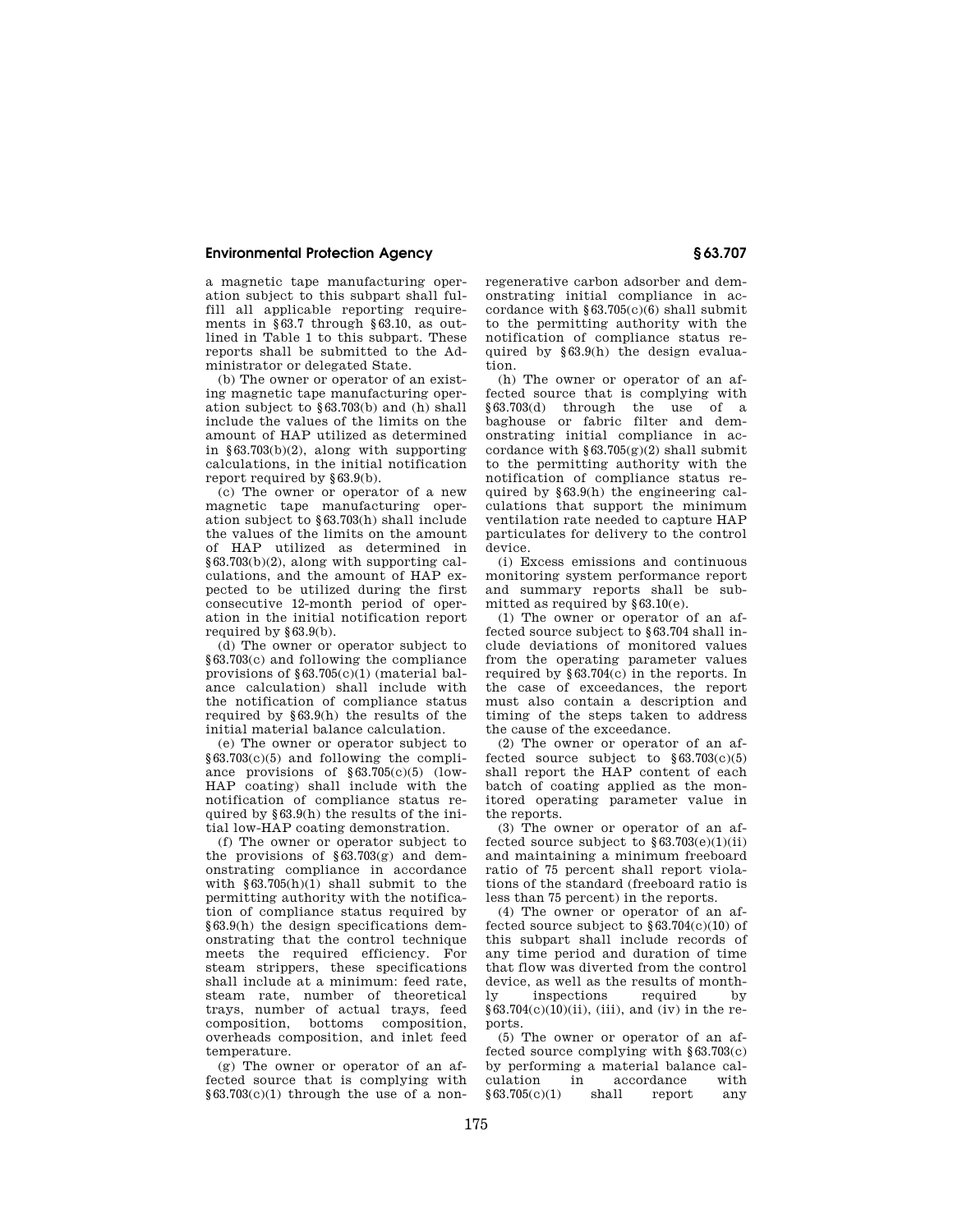## **Environmental Protection Agency § 63.707**

a magnetic tape manufacturing operation subject to this subpart shall fulfill all applicable reporting requirements in §63.7 through §63.10, as outlined in Table 1 to this subpart. These reports shall be submitted to the Administrator or delegated State.

(b) The owner or operator of an existing magnetic tape manufacturing operation subject to §63.703(b) and (h) shall include the values of the limits on the amount of HAP utilized as determined in  $§63.703(b)(2)$ , along with supporting calculations, in the initial notification report required by §63.9(b).

(c) The owner or operator of a new magnetic tape manufacturing operation subject to §63.703(h) shall include the values of the limits on the amount of HAP utilized as determined in §63.703(b)(2), along with supporting calculations, and the amount of HAP expected to be utilized during the first consecutive 12-month period of operation in the initial notification report required by §63.9(b).

(d) The owner or operator subject to §63.703(c) and following the compliance provisions of §63.705(c)(1) (material balance calculation) shall include with the notification of compliance status required by §63.9(h) the results of the initial material balance calculation.

(e) The owner or operator subject to §63.703(c)(5) and following the compliance provisions of  $§63.705(c)(5)$  (low-HAP coating) shall include with the notification of compliance status required by §63.9(h) the results of the initial low-HAP coating demonstration.

(f) The owner or operator subject to the provisions of  $\S 63.703(g)$  and demonstrating compliance in accordance with  $§63.705(h)(1)$  shall submit to the permitting authority with the notification of compliance status required by §63.9(h) the design specifications demonstrating that the control technique meets the required efficiency. For steam strippers, these specifications shall include at a minimum: feed rate, steam rate, number of theoretical trays, number of actual trays, feed composition, bottoms composition, overheads composition, and inlet feed temperature.

(g) The owner or operator of an affected source that is complying with  $§63.703(c)(1)$  through the use of a nonregenerative carbon adsorber and demonstrating initial compliance in accordance with  $§63.705(c)(6)$  shall submit to the permitting authority with the notification of compliance status required by §63.9(h) the design evaluation.

(h) The owner or operator of an affected source that is complying with §63.703(d) through the use of a baghouse or fabric filter and demonstrating initial compliance in accordance with  $\S 63.705(g)(2)$  shall submit to the permitting authority with the notification of compliance status required by §63.9(h) the engineering calculations that support the minimum ventilation rate needed to capture HAP particulates for delivery to the control device.

(i) Excess emissions and continuous monitoring system performance report and summary reports shall be submitted as required by §63.10(e).

(1) The owner or operator of an affected source subject to §63.704 shall include deviations of monitored values from the operating parameter values required by §63.704(c) in the reports. In the case of exceedances, the report must also contain a description and timing of the steps taken to address the cause of the exceedance.

(2) The owner or operator of an affected source subject to  $§63.703(c)(5)$ shall report the HAP content of each batch of coating applied as the monitored operating parameter value in the reports.

(3) The owner or operator of an affected source subject to  $§63.703(e)(1)(ii)$ and maintaining a minimum freeboard ratio of 75 percent shall report violations of the standard (freeboard ratio is less than 75 percent) in the reports.

(4) The owner or operator of an affected source subject to  $$63.704(c)(10)$  of this subpart shall include records of any time period and duration of time that flow was diverted from the control device, as well as the results of month-<br>ly inspections required by ly inspections required by §63.704(c)(10)(ii), (iii), and (iv) in the reports.

(5) The owner or operator of an affected source complying with §63.703(c) by performing a material balance calculation in accordance with<br> $$63.705(c)(1)$  shall report any  $§63.705(c)(1)$  shall report any